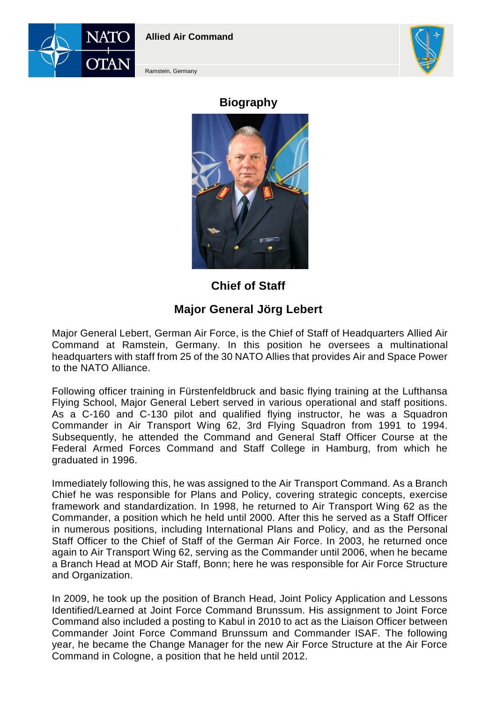



Ramstein, Germany

## **Biography**



**Chief of Staff**

## **Major General Jörg Lebert**

Major General Lebert, German Air Force, is the Chief of Staff of Headquarters Allied Air Command at Ramstein, Germany. In this position he oversees a multinational headquarters with staff from 25 of the 30 NATO Allies that provides Air and Space Power to the NATO Alliance.

Following officer training in Fürstenfeldbruck and basic flying training at the Lufthansa Flying School, Major General Lebert served in various operational and staff positions. As a C-160 and C-130 pilot and qualified flying instructor, he was a Squadron Commander in Air Transport Wing 62, 3rd Flying Squadron from 1991 to 1994. Subsequently, he attended the Command and General Staff Officer Course at the Federal Armed Forces Command and Staff College in Hamburg, from which he graduated in 1996.

Immediately following this, he was assigned to the Air Transport Command. As a Branch Chief he was responsible for Plans and Policy, covering strategic concepts, exercise framework and standardization. In 1998, he returned to Air Transport Wing 62 as the Commander, a position which he held until 2000. After this he served as a Staff Officer in numerous positions, including International Plans and Policy, and as the Personal Staff Officer to the Chief of Staff of the German Air Force. In 2003, he returned once again to Air Transport Wing 62, serving as the Commander until 2006, when he became a Branch Head at MOD Air Staff, Bonn; here he was responsible for Air Force Structure and Organization.

In 2009, he took up the position of Branch Head, Joint Policy Application and Lessons Identified/Learned at Joint Force Command Brunssum. His assignment to Joint Force Command also included a posting to Kabul in 2010 to act as the Liaison Officer between Commander Joint Force Command Brunssum and Commander ISAF. The following year, he became the Change Manager for the new Air Force Structure at the Air Force Command in Cologne, a position that he held until 2012.